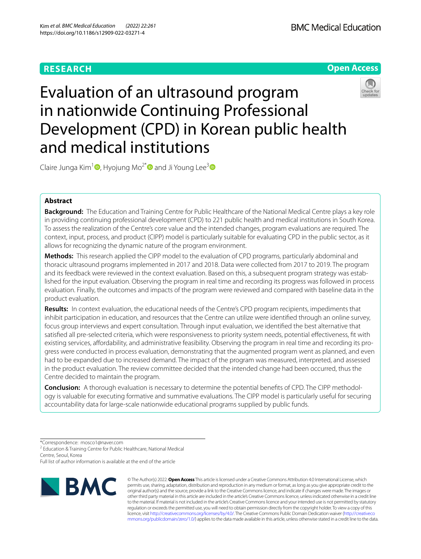# **RESEARCH**

**BMC Medical Education** 

**Open Access**

# Evaluation of an ultrasound program in nationwide Continuing Professional Development (CPD) in Korean public health and medical institutions



Claire Junga Kim<sup>[1](https://orcid.org/0000-0001-6889-5478)</sup><sup>(a</sup>), Hyojung Mo<sup>2[\\*](https://orcid.org/0000-0001-5071-3701)</sup> and Ji Young Lee<sup>[3](https://orcid.org/0000-0003-1803-4834)</sup><sup>(a)</sup>

# **Abstract**

**Background:** The Education and Training Centre for Public Healthcare of the National Medical Centre plays a key role in providing continuing professional development (CPD) to 221 public health and medical institutions in South Korea. To assess the realization of the Centre's core value and the intended changes, program evaluations are required. The context, input, process, and product (CIPP) model is particularly suitable for evaluating CPD in the public sector, as it allows for recognizing the dynamic nature of the program environment.

**Methods:** This research applied the CIPP model to the evaluation of CPD programs, particularly abdominal and thoracic ultrasound programs implemented in 2017 and 2018. Data were collected from 2017 to 2019. The program and its feedback were reviewed in the context evaluation. Based on this, a subsequent program strategy was established for the input evaluation. Observing the program in real time and recording its progress was followed in process evaluation. Finally, the outcomes and impacts of the program were reviewed and compared with baseline data in the product evaluation.

**Results:** In context evaluation, the educational needs of the Centre's CPD program recipients, impediments that inhibit participation in education, and resources that the Centre can utilize were identifed through an online survey, focus group interviews and expert consultation. Through input evaluation, we identifed the best alternative that satisfed all pre-selected criteria, which were responsiveness to priority system needs, potential efectiveness, ft with existing services, afordability, and administrative feasibility. Observing the program in real time and recording its progress were conducted in process evaluation, demonstrating that the augmented program went as planned, and even had to be expanded due to increased demand. The impact of the program was measured, interpreted, and assessed in the product evaluation. The review committee decided that the intended change had been occurred, thus the Centre decided to maintain the program.

**Conclusion:** A thorough evaluation is necessary to determine the potential benefts of CPD. The CIPP methodology is valuable for executing formative and summative evaluations. The CIPP model is particularly useful for securing accountability data for large-scale nationwide educational programs supplied by public funds.

\*Correspondence: mosco1@naver.com

<sup>2</sup> Education & Training Centre for Public Healthcare, National Medical Centre, Seoul, Korea

Full list of author information is available at the end of the article



© The Author(s) 2022. **Open Access** This article is licensed under a Creative Commons Attribution 4.0 International License, which permits use, sharing, adaptation, distribution and reproduction in any medium or format, as long as you give appropriate credit to the original author(s) and the source, provide a link to the Creative Commons licence, and indicate if changes were made. The images or other third party material in this article are included in the article's Creative Commons licence, unless indicated otherwise in a credit line to the material. If material is not included in the article's Creative Commons licence and your intended use is not permitted by statutory regulation or exceeds the permitted use, you will need to obtain permission directly from the copyright holder. To view a copy of this licence, visit [http://creativecommons.org/licenses/by/4.0/.](http://creativecommons.org/licenses/by/4.0/) The Creative Commons Public Domain Dedication waiver ([http://creativeco](http://creativecommons.org/publicdomain/zero/1.0/) [mmons.org/publicdomain/zero/1.0/](http://creativecommons.org/publicdomain/zero/1.0/)) applies to the data made available in this article, unless otherwise stated in a credit line to the data.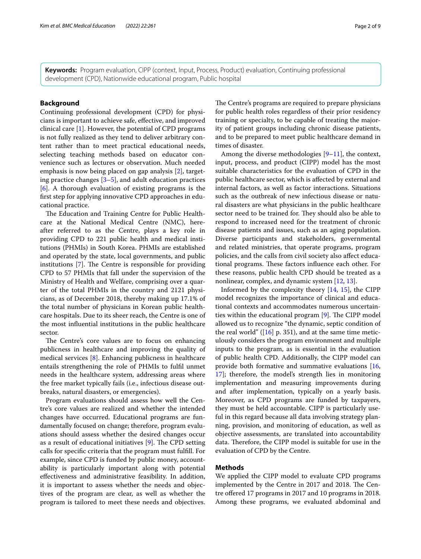**Keywords:** Program evaluation, CIPP (context, Input, Process, Product) evaluation, Continuing professional development (CPD), Nationwide educational program, Public hospital

# **Background**

Continuing professional development (CPD) for physicians is important to achieve safe, efective, and improved clinical care [[1\]](#page-8-0). However, the potential of CPD programs is not fully realized as they tend to deliver arbitrary content rather than to meet practical educational needs, selecting teaching methods based on educator convenience such as lectures or observation. Much needed emphasis is now being placed on gap analysis [\[2](#page-8-1)], targeting practice changes  $[3-5]$  $[3-5]$ , and adult education practices [[6\]](#page-8-4). A thorough evaluation of existing programs is the frst step for applying innovative CPD approaches in educational practice.

The Education and Training Centre for Public Healthcare at the National Medical Centre (NMC), hereafter referred to as the Centre, plays a key role in providing CPD to 221 public health and medical institutions (PHMIs) in South Korea. PHMIs are established and operated by the state, local governments, and public institutions  $[7]$  $[7]$ . The Centre is responsible for providing CPD to 57 PHMIs that fall under the supervision of the Ministry of Health and Welfare, comprising over a quarter of the total PHMIs in the country and 2121 physicians, as of December 2018, thereby making up 17.1% of the total number of physicians in Korean public healthcare hospitals. Due to its sheer reach, the Centre is one of the most infuential institutions in the public healthcare sector.

The Centre's core values are to focus on enhancing publicness in healthcare and improving the quality of medical services [[8\]](#page-8-6). Enhancing publicness in healthcare entails strengthening the role of PHMIs to fulfl unmet needs in the healthcare system, addressing areas where the free market typically fails (i.e., infectious disease outbreaks, natural disasters, or emergencies).

Program evaluations should assess how well the Centre's core values are realized and whether the intended changes have occurred. Educational programs are fundamentally focused on change; therefore, program evaluations should assess whether the desired changes occur as a result of educational initiatives  $[9]$  $[9]$ . The CPD setting calls for specifc criteria that the program must fulfll. For example, since CPD is funded by public money, accountability is particularly important along with potential efectiveness and administrative feasibility. In addition, it is important to assess whether the needs and objectives of the program are clear, as well as whether the program is tailored to meet these needs and objectives. The Centre's programs are required to prepare physicians for public health roles regardless of their prior residency training or specialty, to be capable of treating the majority of patient groups including chronic disease patients, and to be prepared to meet public healthcare demand in times of disaster.

Among the diverse methodologies [[9–](#page-8-7)[11](#page-8-8)], the context, input, process, and product (CIPP) model has the most suitable characteristics for the evaluation of CPD in the public healthcare sector, which is afected by external and internal factors, as well as factor interactions. Situations such as the outbreak of new infectious disease or natural disasters are what physicians in the public healthcare sector need to be trained for. They should also be able to respond to increased need for the treatment of chronic disease patients and issues, such as an aging population. Diverse participants and stakeholders, governmental and related ministries, that operate programs, program policies, and the calls from civil society also afect educational programs. These factors influence each other. For these reasons, public health CPD should be treated as a nonlinear, complex, and dynamic system [[12,](#page-8-9) [13](#page-8-10)].

Informed by the complexity theory [\[14](#page-8-11), [15\]](#page-8-12), the CIPP model recognizes the importance of clinical and educational contexts and accommodates numerous uncertain-ties within the educational program [[9\]](#page-8-7). The CIPP model allowed us to recognize "the dynamic, septic condition of the real world" ( $[16]$  $[16]$  $[16]$  p. 351), and at the same time meticulously considers the program environment and multiple inputs to the program, as is essential in the evaluation of public health CPD. Additionally, the CIPP model can provide both formative and summative evaluations [[16](#page-8-13), [17\]](#page-8-14); therefore, the model's strength lies in monitoring implementation and measuring improvements during and after implementation, typically on a yearly basis. Moreover, as CPD programs are funded by taxpayers, they must be held accountable. CIPP is particularly useful in this regard because all data involving strategy planning, provision, and monitoring of education, as well as objective assessments, are translated into accountability data. Therefore, the CIPP model is suitable for use in the evaluation of CPD by the Centre.

# **Methods**

We applied the CIPP model to evaluate CPD programs implemented by the Centre in 2017 and 2018. The Centre ofered 17 programs in 2017 and 10 programs in 2018. Among these programs, we evaluated abdominal and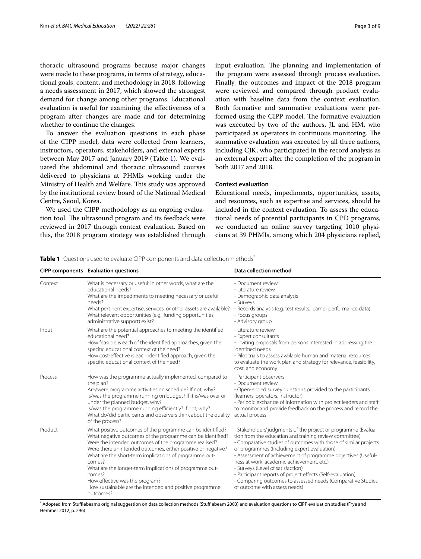thoracic ultrasound programs because major changes were made to these programs, in terms of strategy, educational goals, content, and methodology in 2018, following a needs assessment in 2017, which showed the strongest demand for change among other programs. Educational evaluation is useful for examining the efectiveness of a program after changes are made and for determining whether to continue the changes.

To answer the evaluation questions in each phase of the CIPP model, data were collected from learners, instructors, operators, stakeholders, and external experts between May 2017 and January 2019 (Table [1\)](#page-2-0). We evaluated the abdominal and thoracic ultrasound courses delivered to physicians at PHMIs working under the Ministry of Health and Welfare. This study was approved by the institutional review board of the National Medical Centre, Seoul, Korea.

We used the CIPP methodology as an ongoing evaluation tool. The ultrasound program and its feedback were reviewed in 2017 through context evaluation. Based on this, the 2018 program strategy was established through input evaluation. The planning and implementation of the program were assessed through process evaluation. Finally, the outcomes and impact of the 2018 program were reviewed and compared through product evaluation with baseline data from the context evaluation. Both formative and summative evaluations were performed using the CIPP model. The formative evaluation was executed by two of the authors, JL and HM, who participated as operators in continuous monitoring. The summative evaluation was executed by all three authors, including CJK, who participated in the record analysis as an external expert after the completion of the program in both 2017 and 2018.

# **Context evaluation**

Educational needs, impediments, opportunities, assets, and resources, such as expertise and services, should be included in the context evaluation. To assess the educational needs of potential participants in CPD programs, we conducted an online survey targeting 1010 physicians at 39 PHMIs, among which 204 physicians replied,

<span id="page-2-0"></span>**Table 1** Questions used to evaluate CIPP components and data collection methods<sup>\*</sup>

|         | <b>CIPP components</b> Evaluation questions                                                                                                                                                                                                                                                                                                                                                                                                                                                          | <b>Data collection method</b>                                                                                                                                                                                                                                                                                                                                                                                                                                                                                                                               |  |
|---------|------------------------------------------------------------------------------------------------------------------------------------------------------------------------------------------------------------------------------------------------------------------------------------------------------------------------------------------------------------------------------------------------------------------------------------------------------------------------------------------------------|-------------------------------------------------------------------------------------------------------------------------------------------------------------------------------------------------------------------------------------------------------------------------------------------------------------------------------------------------------------------------------------------------------------------------------------------------------------------------------------------------------------------------------------------------------------|--|
| Context | What is necessary or useful: in other words, what are the<br>educational needs?<br>What are the impediments to meeting necessary or useful<br>needs?<br>What pertinent expertise, services, or other assets are available?<br>What relevant opportunities (e.g., funding opportunities,<br>administrative support) exist?                                                                                                                                                                            | - Document review<br>- Literature review<br>- Demographic data analysis<br>- Surveys<br>- Records analysis (e.g. test results, learner performance data)<br>- Focus groups<br>- Advisory group                                                                                                                                                                                                                                                                                                                                                              |  |
| Input   | What are the potential approaches to meeting the identified<br>educational need?<br>How feasible is each of the identified approaches, given the<br>specific educational context of the need?<br>How cost-effective is each identified approach, given the<br>specific educational context of the need?                                                                                                                                                                                              | - Literature review<br>- Expert consultants<br>- Inviting proposals from persons interested in addressing the<br>identified needs<br>- Pilot trials to assess available human and material resources<br>to evaluate the work plan and strategy for relevance, feasibility,<br>cost, and economy                                                                                                                                                                                                                                                             |  |
| Process | How was the programme actually implemented, compared to<br>the plan?<br>Are/were programme activities on schedule? If not, why?<br>Is/was the programme running on budget? If it is/was over or<br>under the planned budget, why?<br>Is/was the programme running efficiently? If not, why?<br>What do/did participants and observers think about the quality<br>of the process?                                                                                                                     | - Participant observers<br>- Document review<br>- Open-ended survey questions provided to the participants<br>(learners, operators, instructor)<br>- Periodic exchange of information with project leaders and staff<br>to monitor and provide feedback on the process and record the<br>actual process                                                                                                                                                                                                                                                     |  |
| Product | What positive outcomes of the programme can be identified?<br>What negative outcomes of the programme can be identified?<br>Were the intended outcomes of the programme realised?<br>Were there unintended outcomes, either positive or negative?<br>What are the short-term implications of programme out-<br>comes?<br>What are the longer-term implications of programme out-<br>comes?<br>How effective was the program?<br>How sustainable are the intended and positive programme<br>outcomes? | - Stakeholders' judgments of the project or programme (Evalua-<br>tion from the education and training review committee)<br>- Comparative studies of outcomes with those of similar projects<br>or programmes (Including expert evaluation)<br>- Assessment of achievement of programme objectives (Useful-<br>ness at work, academic achievement, etc.)<br>- Surveys (Level of satisfaction)<br>- Participant reports of project effects (Self-evaluation)<br>- Comparing outcomes to assessed needs (Comparative Studies<br>of outcome with assess needs) |  |

\* Adopted from Stufflebeam's original suggestion on data collection methods (Stufflebeam 2003) and evaluation questions to CIPP evaluation studies (Frye and Hemmer 2012, p. 296)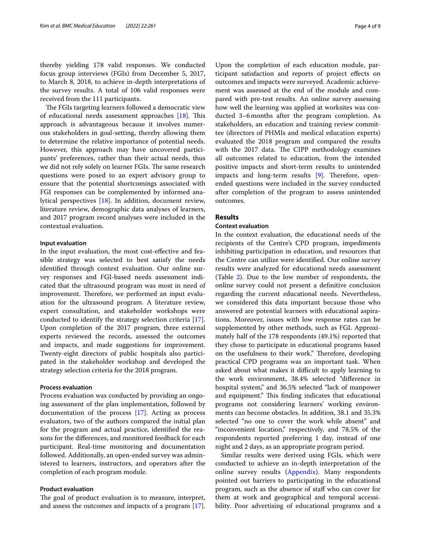thereby yielding 178 valid responses. We conducted focus group interviews (FGIs) from December 5, 2017, to March 8, 2018, to achieve in-depth interpretations of the survey results. A total of 106 valid responses were received from the 111 participants.

The FGIs targeting learners followed a democratic view of educational needs assessment approaches  $[18]$  $[18]$ . This approach is advantageous because it involves numerous stakeholders in goal-setting, thereby allowing them to determine the relative importance of potential needs. However, this approach may have uncovered participants' preferences, rather than their actual needs, thus we did not rely solely on learner FGIs. The same research questions were posed to an expert advisory group to ensure that the potential shortcomings associated with FGI responses can be complemented by informed analytical perspectives [\[18](#page-8-15)]. In addition, document review, literature review, demographic data analyses of learners, and 2017 program record analyses were included in the contextual evaluation.

## **Input evaluation**

In the input evaluation, the most cost-efective and feasible strategy was selected to best satisfy the needs identifed through context evaluation. Our online survey responses and FGI-based needs assessment indicated that the ultrasound program was most in need of improvement. Therefore, we performed an input evaluation for the ultrasound program. A literature review, expert consultation, and stakeholder workshops were conducted to identify the strategy selection criteria [\[17](#page-8-14)]. Upon completion of the 2017 program, three external experts reviewed the records, assessed the outcomes and impacts, and made suggestions for improvement. Twenty-eight directors of public hospitals also participated in the stakeholder workshop and developed the strategy selection criteria for the 2018 program.

# **Process evaluation**

Process evaluation was conducted by providing an ongoing assessment of the plan implementation, followed by documentation of the process [\[17\]](#page-8-14). Acting as process evaluators, two of the authors compared the initial plan for the program and actual practice, identifed the reasons for the diferences, and monitored feedback for each participant. Real-time monitoring and documentation followed. Additionally, an open-ended survey was administered to learners, instructors, and operators after the completion of each program module.

# **Product evaluation**

The goal of product evaluation is to measure, interpret, and assess the outcomes and impacts of a program [\[17](#page-8-14)].

Upon the completion of each education module, participant satisfaction and reports of project efects on outcomes and impacts were surveyed. Academic achievement was assessed at the end of the module and compared with pre-test results. An online survey assessing how well the learning was applied at worksites was conducted 3–6months after the program completion. As stakeholders, an education and training review committee (directors of PHMIs and medical education experts) evaluated the 2018 program and compared the results with the 2017 data. The CIPP methodology examines all outcomes related to education, from the intended positive impacts and short-term results to unintended impacts and long-term results  $[9]$  $[9]$ . Therefore, openended questions were included in the survey conducted after completion of the program to assess unintended outcomes.

# **Results**

# **Context evaluation**

In the context evaluation, the educational needs of the recipients of the Centre's CPD program, impediments inhibiting participation in education, and resources that the Centre can utilize were identifed. Our online survey results were analyzed for educational needs assessment (Table [2\)](#page-4-0). Due to the low number of respondents, the online survey could not present a defnitive conclusion regarding the current educational needs. Nevertheless, we considered this data important because those who answered are potential learners with educational aspirations. Moreover, issues with low response rates can be supplemented by other methods, such as FGI. Approximately half of the 178 respondents (49.1%) reported that they chose to participate in educational programs based on the usefulness to their work." Therefore, developing practical CPD programs was an important task. When asked about what makes it difficult to apply learning to the work environment, 38.4% selected "diference in hospital system," and 36.5% selected "lack of manpower and equipment." This finding indicates that educational programs not considering learners' working environments can become obstacles. In addition, 38.1 and 35.3% selected "no one to cover the work while absent" and "inconvenient location," respectively, and 78.5% of the respondents reported preferring 1 day, instead of one night and 2 days, as an appropriate program period.

Similar results were derived using FGIs, which were conducted to achieve an in-depth interpretation of the online survey results ([Appendix\)](#page-7-0). Many respondents pointed out barriers to participating in the educational program, such as the absence of staff who can cover for them at work and geographical and temporal accessibility. Poor advertising of educational programs and a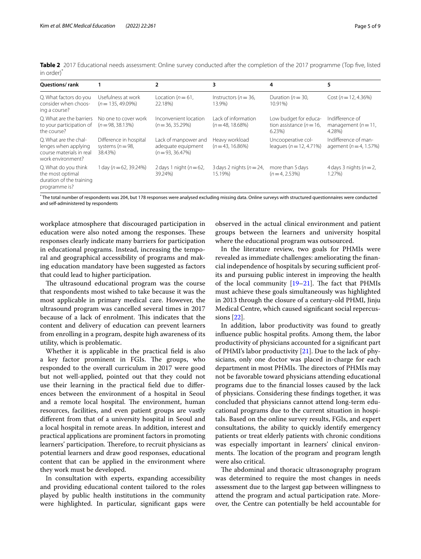<span id="page-4-0"></span>**Table 2** 2017 Educational needs assessment: Online survey conducted after the completion of the 2017 programme (Top fve, listed in order)\*

| <b>Ouestions/rank</b>                                                                          |                                                           |                                                                | 3                                          | 4                                                                 | 5                                                  |
|------------------------------------------------------------------------------------------------|-----------------------------------------------------------|----------------------------------------------------------------|--------------------------------------------|-------------------------------------------------------------------|----------------------------------------------------|
| Q. What factors do you<br>consider when choos-<br>ing a course?                                | Usefulness at work<br>$(n = 135, 49.09\%)$                | Location ( $n = 61$ ,<br>22.18%)                               | Instructors ( $n = 36$ ,<br>13.9%)         | Duration ( $n = 30$ ,<br>10.91%)                                  | Cost ( $n = 12, 4.36\%$ )                          |
| O. What are the barriers<br>to your participation of<br>the course?                            | No one to cover work<br>$(n = 98, 38, 13\%)$              | Inconvenient location<br>$(n = 36, 35.29\%)$                   | Lack of information<br>$(n = 48, 18,68\%)$ | Low budget for educa-<br>tion assistance ( $n = 16$ ,<br>$6.23\%$ | Indifference of<br>management $(n=11)$ .<br>4.28%) |
| O. What are the chal-<br>lenges when applying<br>course materials in real<br>work environment? | Difference in hospital<br>systems ( $n = 98$ ,<br>38.43%) | Lack of manpower and<br>adequate equipment<br>$(n=93.36.47\%)$ | Heavy workload<br>$(n=43, 16.86\%)$        | Uncooperative col-<br>leagues ( $n = 12, 4.71\%$ )                | Indifference of man-<br>agement ( $n = 4$ , 1.57%) |
| Q. What do you think<br>the most optimal<br>duration of the training<br>programme is?          | 1 day ( $n = 62$ , 39.24%)                                | 2 days 1 night ( $n = 62$ ,<br>39.24%)                         | 3 days 2 nights ( $n = 24$ ,<br>15.19%)    | more than 5 days<br>$(n=4.2.53\%)$                                | 4 days 3 nights ( $n = 2$ ,<br>$1.27\%$            |

\* The total number of respondents was 204, but 178 responses were analysed excluding missing data. Online surveys with structured questionnaires were conducted and self-administered by respondents

workplace atmosphere that discouraged participation in education were also noted among the responses. These responses clearly indicate many barriers for participation in educational programs. Instead, increasing the temporal and geographical accessibility of programs and making education mandatory have been suggested as factors that could lead to higher participation.

The ultrasound educational program was the course that respondents most wished to take because it was the most applicable in primary medical care. However, the ultrasound program was cancelled several times in 2017 because of a lack of enrolment. This indicates that the content and delivery of education can prevent learners from enrolling in a program, despite high awareness of its utility, which is problematic.

Whether it is applicable in the practical feld is also a key factor prominent in FGIs. The groups, who responded to the overall curriculum in 2017 were good but not well-applied, pointed out that they could not use their learning in the practical feld due to diferences between the environment of a hospital in Seoul and a remote local hospital. The environment, human resources, facilities, and even patient groups are vastly diferent from that of a university hospital in Seoul and a local hospital in remote areas. In addition, interest and practical applications are prominent factors in promoting learners' participation. Therefore, to recruit physicians as potential learners and draw good responses, educational content that can be applied in the environment where they work must be developed.

In consultation with experts, expanding accessibility and providing educational content tailored to the roles played by public health institutions in the community were highlighted. In particular, signifcant gaps were observed in the actual clinical environment and patient groups between the learners and university hospital where the educational program was outsourced.

In the literature review, two goals for PHMIs were revealed as immediate challenges: ameliorating the fnancial independence of hospitals by securing sufficient profits and pursuing public interest in improving the health of the local community  $[19–21]$  $[19–21]$  $[19–21]$ . The fact that PHMIs must achieve these goals simultaneously was highlighted in 2013 through the closure of a century-old PHMI, Jinju Medical Centre, which caused signifcant social repercussions [\[22\]](#page-8-18).

In addition, labor productivity was found to greatly infuence public hospital profts. Among them, the labor productivity of physicians accounted for a signifcant part of PHMI's labor productivity [[21](#page-8-17)]. Due to the lack of physicians, only one doctor was placed in-charge for each department in most PHMIs. The directors of PHMIs may not be favorable toward physicians attending educational programs due to the fnancial losses caused by the lack of physicians. Considering these fndings together, it was concluded that physicians cannot attend long-term educational programs due to the current situation in hospitals. Based on the online survey results, FGIs, and expert consultations, the ability to quickly identify emergency patients or treat elderly patients with chronic conditions was especially important in learners' clinical environments. The location of the program and program length were also critical.

The abdominal and thoracic ultrasonography program was determined to require the most changes in needs assessment due to the largest gap between willingness to attend the program and actual participation rate. Moreover, the Centre can potentially be held accountable for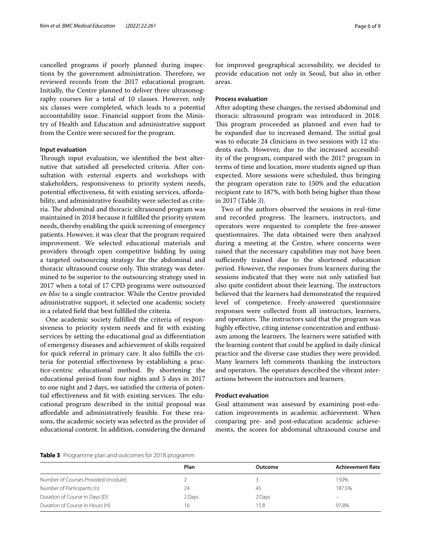cancelled programs if poorly planned during inspections by the government administration. Therefore, we reviewed records from the 2017 educational program. Initially, the Centre planned to deliver three ultrasonography courses for a total of 10 classes. However, only six classes were completed, which leads to a potential accountability issue. Financial support from the Ministry of Health and Education and administrative support from the Centre were secured for the program.

# **Input evaluation**

Through input evaluation, we identified the best alternative that satisfed all preselected criteria. After consultation with external experts and workshops with stakeholders, responsiveness to priority system needs, potential effectiveness, fit with existing services, affordability, and administrative feasibility were selected as criteria. The abdominal and thoracic ultrasound program was maintained in 2018 because it fulflled the priority system needs, thereby enabling the quick screening of emergency patients. However, it was clear that the program required improvement. We selected educational materials and providers through open competitive bidding by using a targeted outsourcing strategy for the abdominal and thoracic ultrasound course only. This strategy was determined to be superior to the outsourcing strategy used in 2017 when a total of 17 CPD programs were outsourced *en bloc* to a single contractor. While the Centre provided administrative support, it selected one academic society in a related feld that best fulflled the criteria.

One academic society fulflled the criteria of responsiveness to priority system needs and fit with existing services by setting the educational goal as diferentiation of emergency diseases and achievement of skills required for quick referral in primary care. It also fulflls the criteria for potential efectiveness by establishing a practice-centric educational method. By shortening the educational period from four nights and 5 days in 2017 to one night and 2 days, we satisfed the criteria of potential effectiveness and fit with existing services. The educational program described in the initial proposal was afordable and administratively feasible. For these reasons, the academic society was selected as the provider of educational content. In addition, considering the demand

for improved geographical accessibility, we decided to provide education not only in Seoul, but also in other areas.

# **Process evaluation**

After adopting these changes, the revised abdominal and thoracic ultrasound program was introduced in 2018. This program proceeded as planned and even had to be expanded due to increased demand. The initial goal was to educate 24 clinicians in two sessions with 12 students each. However, due to the increased accessibility of the program, compared with the 2017 program in terms of time and location, more students signed up than expected. More sessions were scheduled, thus bringing the program operation rate to 150% and the education recipient rate to 187%, with both being higher than those in 2017 (Table [3\)](#page-5-0).

Two of the authors observed the sessions in real-time and recorded progress. The learners, instructors, and operators were requested to complete the free-answer questionnaires. The data obtained were then analyzed during a meeting at the Centre, where concerns were raised that the necessary capabilities may not have been sufficiently trained due to the shortened education period. However, the responses from learners during the sessions indicated that they were not only satisfed but also quite confident about their learning. The instructors believed that the learners had demonstrated the required level of competence. Freely-answered questionnaire responses were collected from all instructors, learners, and operators. The instructors said that the program was highly effective, citing intense concentration and enthusiasm among the learners. The learners were satisfied with the learning content that could be applied in daily clinical practice and the diverse case studies they were provided. Many learners left comments thanking the instructors and operators. The operators described the vibrant interactions between the instructors and learners.

# **Product evaluation**

Goal attainment was assessed by examining post-education improvements in academic achievement. When comparing pre- and post-education academic achievements, the scores for abdominal ultrasound course and

```
Table 3 Programme plan and outcomes for 2018 programm
```

|                                     | Plan   | Outcome | <b>Achievement Rate</b> |
|-------------------------------------|--------|---------|-------------------------|
| Number of Courses Provided (module) |        |         | 150%                    |
| Number of Participants (n)          | 24     | 45      | 187.5%                  |
| Duration of Course in Days (D)      | 2 Days | 2 Days  |                         |
| Duration of Course in Hours (H)     | 16     | 15.8    | 97.8%                   |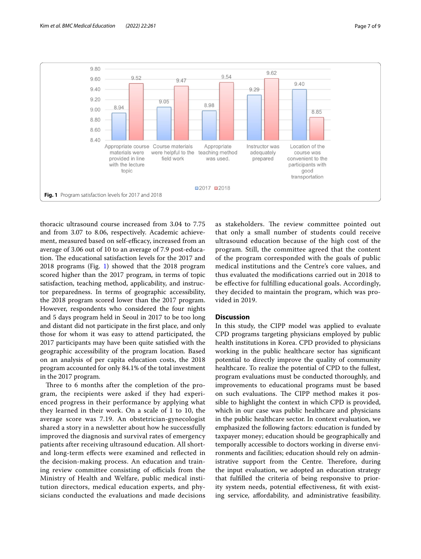

<span id="page-6-0"></span>thoracic ultrasound course increased from 3.04 to 7.75 and from 3.07 to 8.06, respectively. Academic achievement, measured based on self-efficacy, increased from an average of 3.06 out of 10 to an average of 7.9 post-education. The educational satisfaction levels for the 2017 and 2018 programs (Fig. [1](#page-6-0)) showed that the 2018 program scored higher than the 2017 program, in terms of topic satisfaction, teaching method, applicability, and instructor preparedness. In terms of geographic accessibility, the 2018 program scored lower than the 2017 program. However, respondents who considered the four nights and 5 days program held in Seoul in 2017 to be too long and distant did not participate in the frst place, and only those for whom it was easy to attend participated, the 2017 participants may have been quite satisfed with the geographic accessibility of the program location. Based on an analysis of per capita education costs, the 2018 program accounted for only 84.1% of the total investment in the 2017 program.

Three to 6 months after the completion of the program, the recipients were asked if they had experienced progress in their performance by applying what they learned in their work. On a scale of 1 to 10, the average score was 7.19. An obstetrician-gynecologist shared a story in a newsletter about how he successfully improved the diagnosis and survival rates of emergency patients after receiving ultrasound education. All shortand long-term efects were examined and refected in the decision-making process. An education and training review committee consisting of officials from the Ministry of Health and Welfare, public medical institution directors, medical education experts, and physicians conducted the evaluations and made decisions as stakeholders. The review committee pointed out that only a small number of students could receive ultrasound education because of the high cost of the program. Still, the committee agreed that the content of the program corresponded with the goals of public medical institutions and the Centre's core values, and thus evaluated the modifcations carried out in 2018 to be efective for fulflling educational goals. Accordingly, they decided to maintain the program, which was provided in 2019.

# **Discussion**

In this study, the CIPP model was applied to evaluate CPD programs targeting physicians employed by public health institutions in Korea. CPD provided to physicians working in the public healthcare sector has signifcant potential to directly improve the quality of community healthcare. To realize the potential of CPD to the fullest, program evaluations must be conducted thoroughly, and improvements to educational programs must be based on such evaluations. The CIPP method makes it possible to highlight the context in which CPD is provided, which in our case was public healthcare and physicians in the public healthcare sector. In context evaluation, we emphasized the following factors: education is funded by taxpayer money; education should be geographically and temporally accessible to doctors working in diverse environments and facilities; education should rely on administrative support from the Centre. Therefore, during the input evaluation, we adopted an education strategy that fulflled the criteria of being responsive to priority system needs, potential efectiveness, ft with existing service, afordability, and administrative feasibility.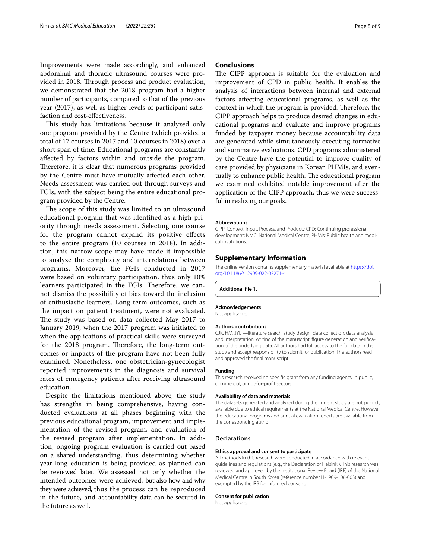Improvements were made accordingly, and enhanced abdominal and thoracic ultrasound courses were provided in 2018. Through process and product evaluation, we demonstrated that the 2018 program had a higher number of participants, compared to that of the previous year (2017), as well as higher levels of participant satisfaction and cost-efectiveness.

This study has limitations because it analyzed only one program provided by the Centre (which provided a total of 17 courses in 2017 and 10 courses in 2018) over a short span of time. Educational programs are constantly afected by factors within and outside the program. Therefore, it is clear that numerous programs provided by the Centre must have mutually afected each other. Needs assessment was carried out through surveys and FGIs, with the subject being the entire educational program provided by the Centre.

The scope of this study was limited to an ultrasound educational program that was identifed as a high priority through needs assessment. Selecting one course for the program cannot expand its positive efects to the entire program (10 courses in 2018). In addition, this narrow scope may have made it impossible to analyze the complexity and interrelations between programs. Moreover, the FGIs conducted in 2017 were based on voluntary participation, thus only 10% learners participated in the FGIs. Therefore, we cannot dismiss the possibility of bias toward the inclusion of enthusiastic learners. Long-term outcomes, such as the impact on patient treatment, were not evaluated. The study was based on data collected May 2017 to January 2019, when the 2017 program was initiated to when the applications of practical skills were surveyed for the 2018 program. Therefore, the long-term outcomes or impacts of the program have not been fully examined. Nonetheless, one obstetrician-gynecologist reported improvements in the diagnosis and survival rates of emergency patients after receiving ultrasound education.

Despite the limitations mentioned above, the study has strengths in being comprehensive, having conducted evaluations at all phases beginning with the previous educational program, improvement and implementation of the revised program, and evaluation of the revised program after implementation. In addition, ongoing program evaluation is carried out based on a shared understanding, thus determining whether year-long education is being provided as planned can be reviewed later. We assessed not only whether the intended outcomes were achieved, but also how and why they were achieved, thus the process can be reproduced in the future, and accountability data can be secured in the future as well.

# **Conclusions**

The CIPP approach is suitable for the evaluation and improvement of CPD in public health. It enables the analysis of interactions between internal and external factors afecting educational programs, as well as the context in which the program is provided. Therefore, the CIPP approach helps to produce desired changes in educational programs and evaluate and improve programs funded by taxpayer money because accountability data are generated while simultaneously executing formative and summative evaluations. CPD programs administered by the Centre have the potential to improve quality of care provided by physicians in Korean PHMIs, and eventually to enhance public health. The educational program we examined exhibited notable improvement after the application of the CIPP approach, thus we were successful in realizing our goals.

#### **Abbreviations**

CIPP: Context, Input, Process, and Product.; CPD: Continuing professional development; NMC: National Medical Centre; PHMIs: Public health and medical institutions.

#### **Supplementary Information**

The online version contains supplementary material available at [https://doi.](https://doi.org/10.1186/s12909-022-03271-4) [org/10.1186/s12909-022-03271-4](https://doi.org/10.1186/s12909-022-03271-4).

<span id="page-7-0"></span>**Additional fle 1.**

#### **Acknowledgements**

Not applicable.

#### **Authors' contributions**

CJK, HM, JYL —literature search, study design, data collection, data analysis and interpretation, writing of the manuscript, fgure generation and verifcation of the underlying data. All authors had full access to the full data in the study and accept responsibility to submit for publication. The authors read and approved the fnal manuscript.

#### **Funding**

This research received no specifc grant from any funding agency in public, commercial, or not-for-proft sectors.

#### **Availability of data and materials**

The datasets generated and analyzed during the current study are not publicly available due to ethical requirements at the National Medical Centre. However, the educational programs and annual evaluation reports are available from the corresponding author.

## **Declarations**

#### **Ethics approval and consent to participate**

All methods in this research were conducted in accordance with relevant guidelines and regulations (e.g., the Declaration of Helsinki). This research was reviewed and approved by the Institutional Review Board (IRB) of the National Medical Centre in South Korea (reference number H-1909-106-003) and exempted by the IRB for informed consent.

#### **Consent for publication**

Not applicable.